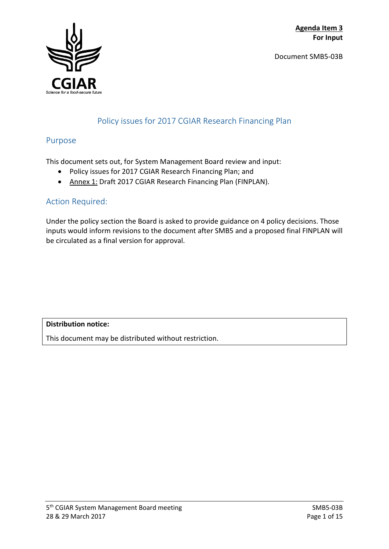Document SMB5-03B



## Policy issues for 2017 CGIAR Research Financing Plan

## Purpose

This document sets out, for System Management Board review and input:

- Policy issues for 2017 CGIAR Research Financing Plan; and
- Annex 1: Draft 2017 CGIAR Research Financing Plan (FINPLAN).

## Action Required:

Under the policy section the Board is asked to provide guidance on 4 policy decisions. Those inputs would inform revisions to the document after SMB5 and a proposed final FINPLAN will be circulated as a final version for approval.

**Distribution notice:**

This document may be distributed without restriction.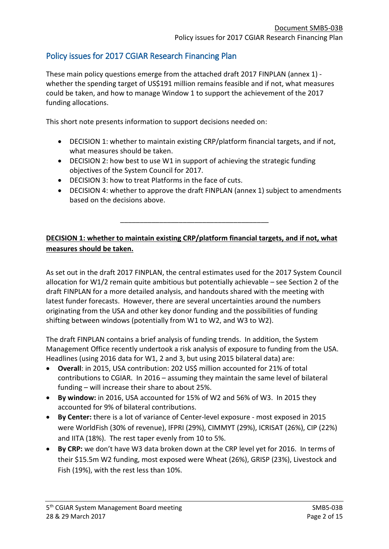## Policy issues for 2017 CGIAR Research Financing Plan

These main policy questions emerge from the attached draft 2017 FINPLAN (annex 1) whether the spending target of US\$191 million remains feasible and if not, what measures could be taken, and how to manage Window 1 to support the achievement of the 2017 funding allocations.

This short note presents information to support decisions needed on:

- DECISION 1: whether to maintain existing CRP/platform financial targets, and if not, what measures should be taken.
- DECISION 2: how best to use W1 in support of achieving the strategic funding objectives of the System Council for 2017.
- DECISION 3: how to treat Platforms in the face of cuts.
- DECISION 4: whether to approve the draft FINPLAN (annex 1) subject to amendments based on the decisions above.

### **DECISION 1: whether to maintain existing CRP/platform financial targets, and if not, what measures should be taken.**

\_\_\_\_\_\_\_\_\_\_\_\_\_\_\_\_\_\_\_\_\_\_\_\_\_\_\_\_\_\_\_\_\_\_\_\_\_\_

As set out in the draft 2017 FINPLAN, the central estimates used for the 2017 System Council allocation for W1/2 remain quite ambitious but potentially achievable – see Section 2 of the draft FINPLAN for a more detailed analysis, and handouts shared with the meeting with latest funder forecasts. However, there are several uncertainties around the numbers originating from the USA and other key donor funding and the possibilities of funding shifting between windows (potentially from W1 to W2, and W3 to W2).

The draft FINPLAN contains a brief analysis of funding trends. In addition, the System Management Office recently undertook a risk analysis of exposure to funding from the USA. Headlines (using 2016 data for W1, 2 and 3, but using 2015 bilateral data) are:

- **Overall**: in 2015, USA contribution: 202 US\$ million accounted for 21% of total contributions to CGIAR. In 2016 – assuming they maintain the same level of bilateral funding – will increase their share to about 25%.
- **By window:** in 2016, USA accounted for 15% of W2 and 56% of W3. In 2015 they accounted for 9% of bilateral contributions.
- **By Center:** there is a lot of variance of Center-level exposure most exposed in 2015 were WorldFish (30% of revenue), IFPRI (29%), CIMMYT (29%), ICRISAT (26%), CIP (22%) and IITA (18%). The rest taper evenly from 10 to 5%.
- **By CRP:** we don't have W3 data broken down at the CRP level yet for 2016. In terms of their \$15.5m W2 funding, most exposed were Wheat (26%), GRISP (23%), Livestock and Fish (19%), with the rest less than 10%.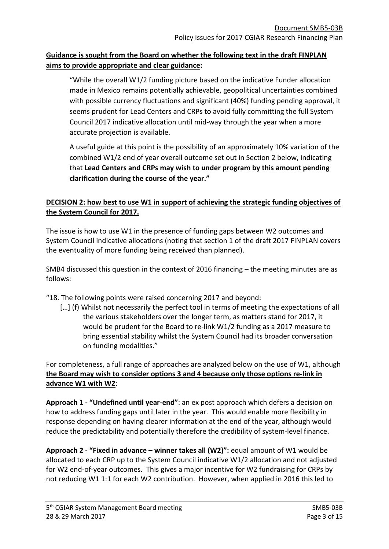## **Guidance is sought from the Board on whether the following text in the draft FINPLAN aims to provide appropriate and clear guidance:**

"While the overall W1/2 funding picture based on the indicative Funder allocation made in Mexico remains potentially achievable, geopolitical uncertainties combined with possible currency fluctuations and significant (40%) funding pending approval, it seems prudent for Lead Centers and CRPs to avoid fully committing the full System Council 2017 indicative allocation until mid-way through the year when a more accurate projection is available.

A useful guide at this point is the possibility of an approximately 10% variation of the combined W1/2 end of year overall outcome set out in Section 2 below, indicating that **Lead Centers and CRPs may wish to under program by this amount pending clarification during the course of the year."**

### **DECISION 2: how best to use W1 in support of achieving the strategic funding objectives of the System Council for 2017.**

The issue is how to use W1 in the presence of funding gaps between W2 outcomes and System Council indicative allocations (noting that section 1 of the draft 2017 FINPLAN covers the eventuality of more funding being received than planned).

SMB4 discussed this question in the context of 2016 financing – the meeting minutes are as follows:

"18. The following points were raised concerning 2017 and beyond:

[...] (f) Whilst not necessarily the perfect tool in terms of meeting the expectations of all the various stakeholders over the longer term, as matters stand for 2017, it would be prudent for the Board to re-link W1/2 funding as a 2017 measure to bring essential stability whilst the System Council had its broader conversation on funding modalities."

For completeness, a full range of approaches are analyzed below on the use of W1, although **the Board may wish to consider options 3 and 4 because only those options re-link in advance W1 with W2**:

**Approach 1 - "Undefined until year-end"**: an ex post approach which defers a decision on how to address funding gaps until later in the year. This would enable more flexibility in response depending on having clearer information at the end of the year, although would reduce the predictability and potentially therefore the credibility of system-level finance.

**Approach 2 - "Fixed in advance – winner takes all (W2)":** equal amount of W1 would be allocated to each CRP up to the System Council indicative W1/2 allocation and not adjusted for W2 end-of-year outcomes. This gives a major incentive for W2 fundraising for CRPs by not reducing W1 1:1 for each W2 contribution. However, when applied in 2016 this led to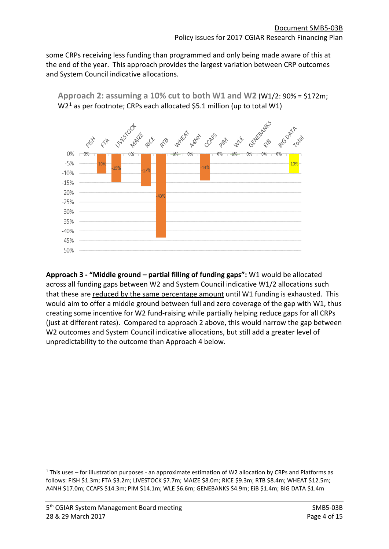some CRPs receiving less funding than programmed and only being made aware of this at the end of the year. This approach provides the largest variation between CRP outcomes and System Council indicative allocations.



**Approach 2: assuming a 10% cut to both W1 and W2** (W1/2: 90% = \$172m;  $W2<sup>1</sup>$  $W2<sup>1</sup>$  $W2<sup>1</sup>$  as per footnote; CRPs each allocated \$5.1 million (up to total W1)

**Approach 3 - "Middle ground – partial filling of funding gaps":** W1 would be allocated across all funding gaps between W2 and System Council indicative W1/2 allocations such that these are reduced by the same percentage amount until W1 funding is exhausted. This would aim to offer a middle ground between full and zero coverage of the gap with W1, thus creating some incentive for W2 fund-raising while partially helping reduce gaps for all CRPs (just at different rates). Compared to approach 2 above, this would narrow the gap between W2 outcomes and System Council indicative allocations, but still add a greater level of unpredictability to the outcome than Approach 4 below.

<span id="page-3-0"></span> <sup>1</sup> This uses – for illustration purposes - an approximate estimation of W2 allocation by CRPs and Platforms as follows: FISH \$1.3m; FTA \$3.2m; LIVESTOCK \$7.7m; MAIZE \$8.0m; RICE \$9.3m; RTB \$8.4m; WHEAT \$12.5m; A4NH \$17.0m; CCAFS \$14.3m; PIM \$14.1m; WLE \$6.6m; GENEBANKS \$4.9m; EiB \$1.4m; BIG DATA \$1.4m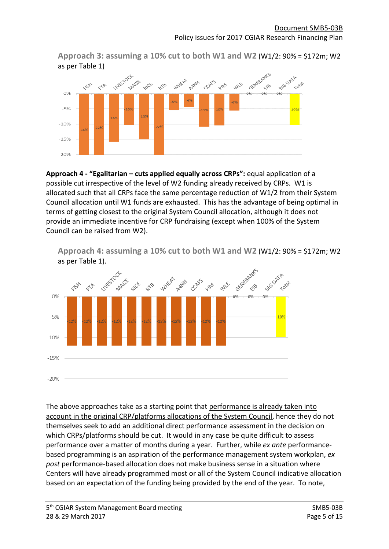**Approach 3: assuming a 10% cut to both W1 and W2** (W1/2: 90% = \$172m; W2 as per Table 1)



**Approach 4 - "Egalitarian – cuts applied equally across CRPs":** equal application of a possible cut irrespective of the level of W2 funding already received by CRPs. W1 is allocated such that all CRPs face the same percentage reduction of W1/2 from their System Council allocation until W1 funds are exhausted. This has the advantage of being optimal in terms of getting closest to the original System Council allocation, although it does not provide an immediate incentive for CRP fundraising (except when 100% of the System Council can be raised from W2).

**Approach 4: assuming a 10% cut to both W1 and W2** (W1/2: 90% = \$172m; W2 as per Table 1).



The above approaches take as a starting point that performance is already taken into account in the original CRP/platforms allocations of the System Council, hence they do not themselves seek to add an additional direct performance assessment in the decision on which CRPs/platforms should be cut. It would in any case be quite difficult to assess performance over a matter of months during a year. Further, while *ex ante* performancebased programming is an aspiration of the performance management system workplan, *ex post* performance-based allocation does not make business sense in a situation where Centers will have already programmed most or all of the System Council indicative allocation based on an expectation of the funding being provided by the end of the year. To note,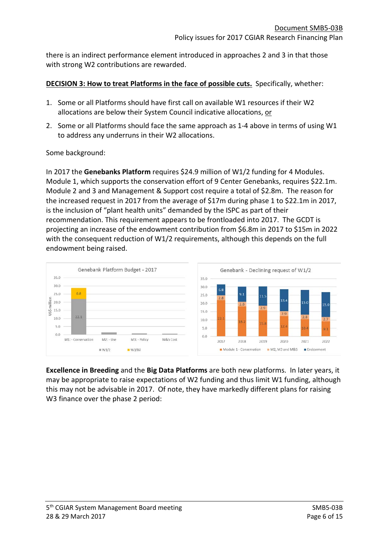there is an indirect performance element introduced in approaches 2 and 3 in that those with strong W2 contributions are rewarded.

#### **DECISION 3: How to treat Platforms in the face of possible cuts.** Specifically, whether:

- 1. Some or all Platforms should have first call on available W1 resources if their W2 allocations are below their System Council indicative allocations, or
- 2. Some or all Platforms should face the same approach as 1-4 above in terms of using W1 to address any underruns in their W2 allocations.

#### Some background:

In 2017 the **Genebanks Platform** requires \$24.9 million of W1/2 funding for 4 Modules. Module 1, which supports the conservation effort of 9 Center Genebanks, requires \$22.1m. Module 2 and 3 and Management & Support cost require a total of \$2.8m. The reason for the increased request in 2017 from the average of \$17m during phase 1 to \$22.1m in 2017, is the inclusion of "plant health units" demanded by the ISPC as part of their recommendation. This requirement appears to be frontloaded into 2017. The GCDT is projecting an increase of the endowment contribution from \$6.8m in 2017 to \$15m in 2022 with the consequent reduction of W1/2 requirements, although this depends on the full endowment being raised.



**Excellence in Breeding** and the **Big Data Platforms** are both new platforms. In later years, it may be appropriate to raise expectations of W2 funding and thus limit W1 funding, although this may not be advisable in 2017. Of note, they have markedly different plans for raising W3 finance over the phase 2 period: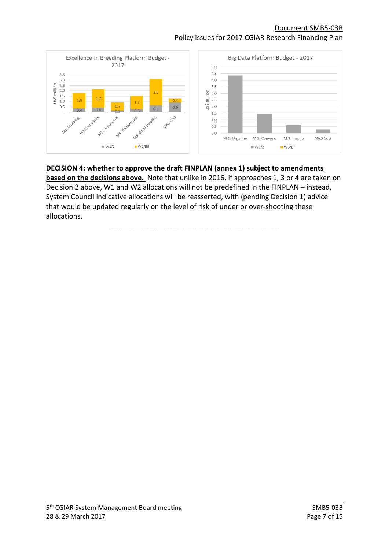### Document SMB5-03B Policy issues for 2017 CGIAR Research Financing Plan



### **DECISION 4: whether to approve the draft FINPLAN (annex 1) subject to amendments**

**based on the decisions above.** Note that unlike in 2016, if approaches 1, 3 or 4 are taken on Decision 2 above, W1 and W2 allocations will not be predefined in the FINPLAN – instead, System Council indicative allocations will be reasserted, with (pending Decision 1) advice that would be updated regularly on the level of risk of under or over-shooting these allocations.

\_\_\_\_\_\_\_\_\_\_\_\_\_\_\_\_\_\_\_\_\_\_\_\_\_\_\_\_\_\_\_\_\_\_\_\_\_\_\_\_\_\_\_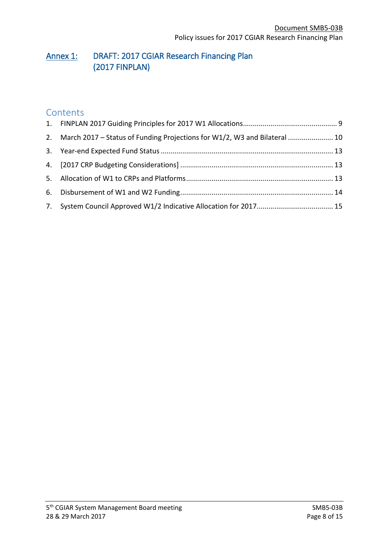## Annex 1: DRAFT: 2017 CGIAR Research Financing Plan (2017 FINPLAN)

## **Contents**

| 2. March 2017 – Status of Funding Projections for W1/2, W3 and Bilateral  10 |  |
|------------------------------------------------------------------------------|--|
|                                                                              |  |
|                                                                              |  |
|                                                                              |  |
|                                                                              |  |
|                                                                              |  |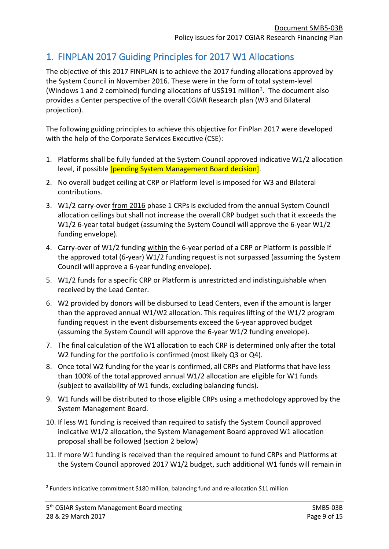## <span id="page-8-0"></span>1. FINPLAN 2017 Guiding Principles for 2017 W1 Allocations

The objective of this 2017 FINPLAN is to achieve the 2017 funding allocations approved by the System Council in November 2016. These were in the form of total system-level (Windows 1 and [2](#page-8-1) combined) funding allocations of US\$191 million<sup>2</sup>. The document also provides a Center perspective of the overall CGIAR Research plan (W3 and Bilateral projection).

The following guiding principles to achieve this objective for FinPlan 2017 were developed with the help of the Corporate Services Executive (CSE):

- 1. Platforms shall be fully funded at the System Council approved indicative W1/2 allocation level, if possible [pending System Management Board decision].
- 2. No overall budget ceiling at CRP or Platform level is imposed for W3 and Bilateral contributions.
- 3. W1/2 carry-over from 2016 phase 1 CRPs is excluded from the annual System Council allocation ceilings but shall not increase the overall CRP budget such that it exceeds the W1/2 6-year total budget (assuming the System Council will approve the 6-year W1/2 funding envelope).
- 4. Carry-over of W1/2 funding within the 6-year period of a CRP or Platform is possible if the approved total (6-year) W1/2 funding request is not surpassed (assuming the System Council will approve a 6-year funding envelope).
- 5. W1/2 funds for a specific CRP or Platform is unrestricted and indistinguishable when received by the Lead Center.
- 6. W2 provided by donors will be disbursed to Lead Centers, even if the amount is larger than the approved annual W1/W2 allocation. This requires lifting of the W1/2 program funding request in the event disbursements exceed the 6-year approved budget (assuming the System Council will approve the 6-year W1/2 funding envelope).
- 7. The final calculation of the W1 allocation to each CRP is determined only after the total W2 funding for the portfolio is confirmed (most likely Q3 or Q4).
- 8. Once total W2 funding for the year is confirmed, all CRPs and Platforms that have less than 100% of the total approved annual W1/2 allocation are eligible for W1 funds (subject to availability of W1 funds, excluding balancing funds).
- 9. W1 funds will be distributed to those eligible CRPs using a methodology approved by the System Management Board.
- 10. If less W1 funding is received than required to satisfy the System Council approved indicative W1/2 allocation, the System Management Board approved W1 allocation proposal shall be followed (section 2 below)
- 11. If more W1 funding is received than the required amount to fund CRPs and Platforms at the System Council approved 2017 W1/2 budget, such additional W1 funds will remain in

<span id="page-8-1"></span> <sup>2</sup> Funders indicative commitment \$180 million, balancing fund and re-allocation \$11 million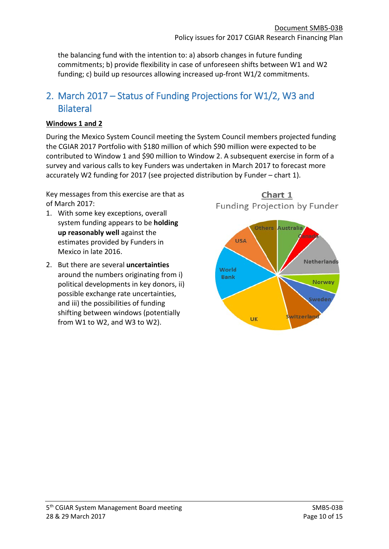the balancing fund with the intention to: a) absorb changes in future funding commitments; b) provide flexibility in case of unforeseen shifts between W1 and W2 funding; c) build up resources allowing increased up-front W1/2 commitments.

## <span id="page-9-0"></span>2. March 2017 – Status of Funding Projections for W1/2, W3 and **Bilateral**

### **Windows 1 and 2**

During the Mexico System Council meeting the System Council members projected funding the CGIAR 2017 Portfolio with \$180 million of which \$90 million were expected to be contributed to Window 1 and \$90 million to Window 2. A subsequent exercise in form of a survey and various calls to key Funders was undertaken in March 2017 to forecast more accurately W2 funding for 2017 (see projected distribution by Funder – chart 1).

Key messages from this exercise are that as of March 2017:

- 1. With some key exceptions, overall system funding appears to be **holding up reasonably well** against the estimates provided by Funders in Mexico in late 2016.
- 2. But there are several **uncertainties** around the numbers originating from i) political developments in key donors, ii) possible exchange rate uncertainties, and iii) the possibilities of funding shifting between windows (potentially from W1 to W2, and W3 to W2).

Chart 1 Funding Projection by Funder

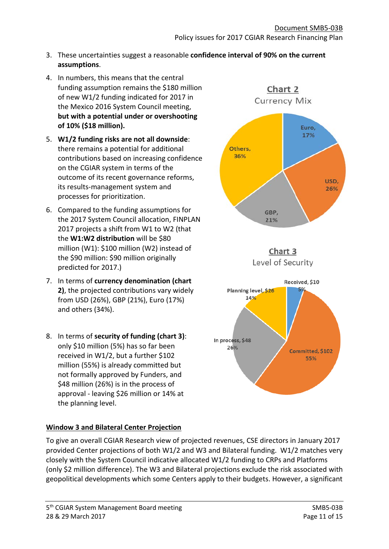Chart 2

- 3. These uncertainties suggest a reasonable **confidence interval of 90% on the current assumptions**.
- 4. In numbers, this means that the central funding assumption remains the \$180 million of new W1/2 funding indicated for 2017 in the Mexico 2016 System Council meeting, **but with a potential under or overshooting of 10% (\$18 million).**
- 5. **W1/2 funding risks are not all downside**: there remains a potential for additional contributions based on increasing confidence on the CGIAR system in terms of the outcome of its recent governance reforms, its results-management system and processes for prioritization.
- 6. Compared to the funding assumptions for the 2017 System Council allocation, FINPLAN 2017 projects a shift from W1 to W2 (that the **W1:W2 distribution** will be \$80 million (W1): \$100 million (W2) instead of the \$90 million: \$90 million originally predicted for 2017.)
- 7. In terms of **currency denomination (chart 2)**, the projected contributions vary widely from USD (26%), GBP (21%), Euro (17%) and others (34%).
- 8. In terms of **security of funding (chart 3)**: only \$10 million (5%) has so far been received in W1/2, but a further \$102 million (55%) is already committed but not formally approved by Funders, and \$48 million (26%) is in the process of approval - leaving \$26 million or 14% at the planning level.

## **Window 3 and Bilateral Center Projection**

To give an overall CGIAR Research view of projected revenues, CSE directors in January 2017 provided Center projections of both W1/2 and W3 and Bilateral funding. W1/2 matches very closely with the System Council indicative allocated W1/2 funding to CRPs and Platforms (only \$2 million difference). The W3 and Bilateral projections exclude the risk associated with geopolitical developments which some Centers apply to their budgets. However, a significant

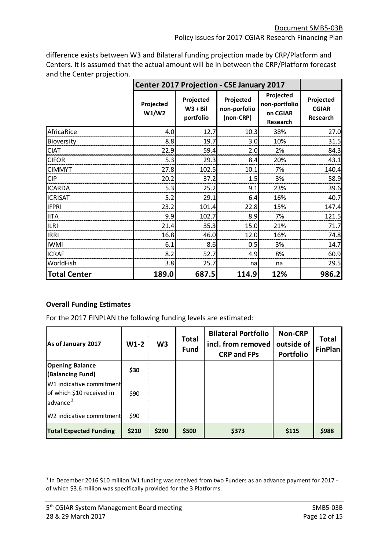difference exists between W3 and Bilateral funding projection made by CRP/Platform and Centers. It is assumed that the actual amount will be in between the CRP/Platform forecast and the Center projection.

|                     | Center 2017 Projection - CSE January 2017 |                                      |                                        |                                                    |                                       |
|---------------------|-------------------------------------------|--------------------------------------|----------------------------------------|----------------------------------------------------|---------------------------------------|
|                     | Projected<br>W1/W2                        | Projected<br>$W3 + Bil$<br>portfolio | Projected<br>non-porfolio<br>(non-CRP) | Projected<br>non-portfolio<br>on CGIAR<br>Research | Projected<br><b>CGIAR</b><br>Research |
| AfricaRice          | 4.0                                       | 12.7                                 | 10.3                                   | 38%                                                | 27.0                                  |
| Bioversity          | 8.8                                       | 19.7                                 | 3.0                                    | 10%                                                | 31.5                                  |
| <b>CIAT</b>         | 22.9                                      | 59.4                                 | 2.0                                    | 2%                                                 | 84.3                                  |
| <b>CIFOR</b>        | 5.3                                       | 29.3                                 | 8.4                                    | 20%                                                | 43.1                                  |
| <b>CIMMYT</b>       | 27.8                                      | 102.5                                | 10.1                                   | 7%                                                 | 140.4                                 |
| <b>CIP</b>          | 20.2                                      | 37.2                                 | 1.5                                    | 3%                                                 | 58.9                                  |
| <b>ICARDA</b>       | 5.3                                       | 25.2                                 | 9.1                                    | 23%                                                | 39.6                                  |
| <b>ICRISAT</b>      | 5.2                                       | 29.1                                 | 6.4                                    | 16%                                                | 40.7                                  |
| <b>IFPRI</b>        | 23.2                                      | 101.4                                | 22.8                                   | 15%                                                | 147.4                                 |
| <b>IITA</b>         | 9.9                                       | 102.7                                | 8.9                                    | 7%                                                 | 121.5                                 |
| <b>ILRI</b>         | 21.4                                      | 35.3                                 | 15.0                                   | 21%                                                | 71.7                                  |
| <b>IRRI</b>         | 16.8                                      | 46.0                                 | 12.0                                   | 16%                                                | 74.8                                  |
| <b>IWMI</b>         | 6.1                                       | 8.6                                  | 0.5                                    | 3%                                                 | 14.7                                  |
| <b>ICRAF</b>        | 8.2                                       | 52.7                                 | 4.9                                    | 8%                                                 | 60.9                                  |
| WorldFish           | 3.8                                       | 25.7                                 | na                                     | na                                                 | 29.5                                  |
| <b>Total Center</b> | 189.0                                     | 687.5                                | 114.9                                  | 12%                                                | 986.2                                 |

### **Overall Funding Estimates**

For the 2017 FINPLAN the following funding levels are estimated:

| As of January 2017                                                            | $W1-2$ | W <sub>3</sub> | <b>Total</b><br><b>Fund</b> | <b>Bilateral Portfolio</b><br>incl. from removed<br><b>CRP and FPs</b> | <b>Non-CRP</b><br>outside of<br><b>Portfolio</b> | <b>Total</b><br>FinPlan |
|-------------------------------------------------------------------------------|--------|----------------|-----------------------------|------------------------------------------------------------------------|--------------------------------------------------|-------------------------|
| <b>Opening Balance</b><br>(Balancing Fund)                                    | \$30   |                |                             |                                                                        |                                                  |                         |
| W1 indicative commitment<br>of which \$10 received in<br>advance <sup>3</sup> | \$90   |                |                             |                                                                        |                                                  |                         |
| W2 indicative commitment                                                      | \$90   |                |                             |                                                                        |                                                  |                         |
| <b>Total Expected Funding</b>                                                 | \$210  | \$290          | \$500                       | \$373                                                                  | \$115                                            | \$988                   |

<span id="page-11-0"></span><sup>&</sup>lt;sup>3</sup> In December 2016 \$10 million W1 funding was received from two Funders as an advance payment for 2017 of which \$3.6 million was specifically provided for the 3 Platforms.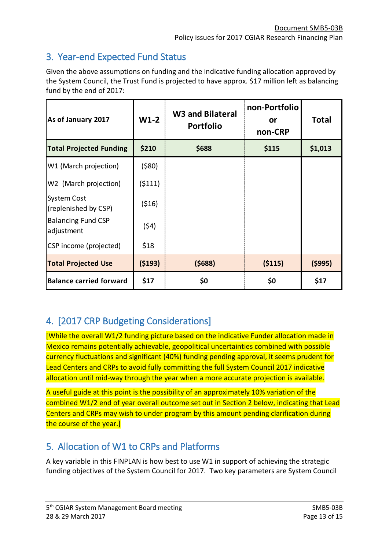## <span id="page-12-0"></span>3. Year-end Expected Fund Status

Given the above assumptions on funding and the indicative funding allocation approved by the System Council, the Trust Fund is projected to have approx. \$17 million left as balancing fund by the end of 2017:

| As of January 2017                      | $W1-2$   | <b>W3 and Bilateral</b><br><b>Portfolio</b> | non-Portfolio<br><u>or</u><br>non-CRP | <b>Total</b> |
|-----------------------------------------|----------|---------------------------------------------|---------------------------------------|--------------|
| <b>Total Projected Funding</b>          | \$210    | \$688                                       | \$115                                 | \$1,013      |
| W1 (March projection)                   | (580)    |                                             |                                       |              |
| W2 (March projection)                   | (5111)   |                                             |                                       |              |
| System Cost<br>(replenished by CSP)     | (516)    |                                             |                                       |              |
| <b>Balancing Fund CSP</b><br>adjustment | (54)     |                                             |                                       |              |
| CSP income (projected)                  | \$18     |                                             |                                       |              |
| <b>Total Projected Use</b>              | ( \$193) | (5688)                                      | ( \$115)                              | (5995)       |
| <b>Balance carried forward</b>          | \$17     | \$0                                         | \$0                                   | \$17         |

# <span id="page-12-1"></span>4. [2017 CRP Budgeting Considerations]

[While the overall W1/2 funding picture based on the indicative Funder allocation made in Mexico remains potentially achievable, geopolitical uncertainties combined with possible currency fluctuations and significant (40%) funding pending approval, it seems prudent for Lead Centers and CRPs to avoid fully committing the full System Council 2017 indicative allocation until mid-way through the year when a more accurate projection is available.

A useful guide at this point is the possibility of an approximately 10% variation of the combined W1/2 end of year overall outcome set out in Section 2 below, indicating that Lead Centers and CRPs may wish to under program by this amount pending clarification during the course of the year.]

## <span id="page-12-2"></span>5. Allocation of W1 to CRPs and Platforms

A key variable in this FINPLAN is how best to use W1 in support of achieving the strategic funding objectives of the System Council for 2017. Two key parameters are System Council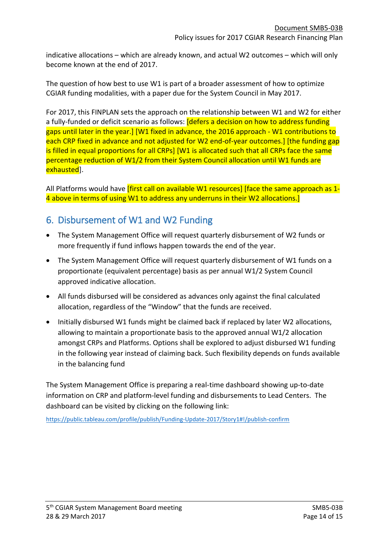indicative allocations – which are already known, and actual W2 outcomes – which will only become known at the end of 2017.

The question of how best to use W1 is part of a broader assessment of how to optimize CGIAR funding modalities, with a paper due for the System Council in May 2017.

For 2017, this FINPLAN sets the approach on the relationship between W1 and W2 for either a fully-funded or deficit scenario as follows: **[defers a decision on how to address funding** gaps until later in the year.] [W1 fixed in advance, the 2016 approach - W1 contributions to each CRP fixed in advance and not adjusted for W2 end-of-year outcomes.] [the funding gap is filled in equal proportions for all CRPs] [W1 is allocated such that all CRPs face the same percentage reduction of W1/2 from their System Council allocation until W1 funds are exhausted].

All Platforms would have *first call on available W1 resources* frace the same approach as 1-4 above in terms of using W1 to address any underruns in their W2 allocations.]

## <span id="page-13-0"></span>6. Disbursement of W1 and W2 Funding

- The System Management Office will request quarterly disbursement of W2 funds or more frequently if fund inflows happen towards the end of the year.
- The System Management Office will request quarterly disbursement of W1 funds on a proportionate (equivalent percentage) basis as per annual W1/2 System Council approved indicative allocation.
- All funds disbursed will be considered as advances only against the final calculated allocation, regardless of the "Window" that the funds are received.
- Initially disbursed W1 funds might be claimed back if replaced by later W2 allocations, allowing to maintain a proportionate basis to the approved annual W1/2 allocation amongst CRPs and Platforms. Options shall be explored to adjust disbursed W1 funding in the following year instead of claiming back. Such flexibility depends on funds available in the balancing fund

The System Management Office is preparing a real-time dashboard showing up-to-date information on CRP and platform-level funding and disbursements to Lead Centers. The dashboard can be visited by clicking on the following link:

<https://public.tableau.com/profile/publish/Funding-Update-2017/Story1#!/publish-confirm>